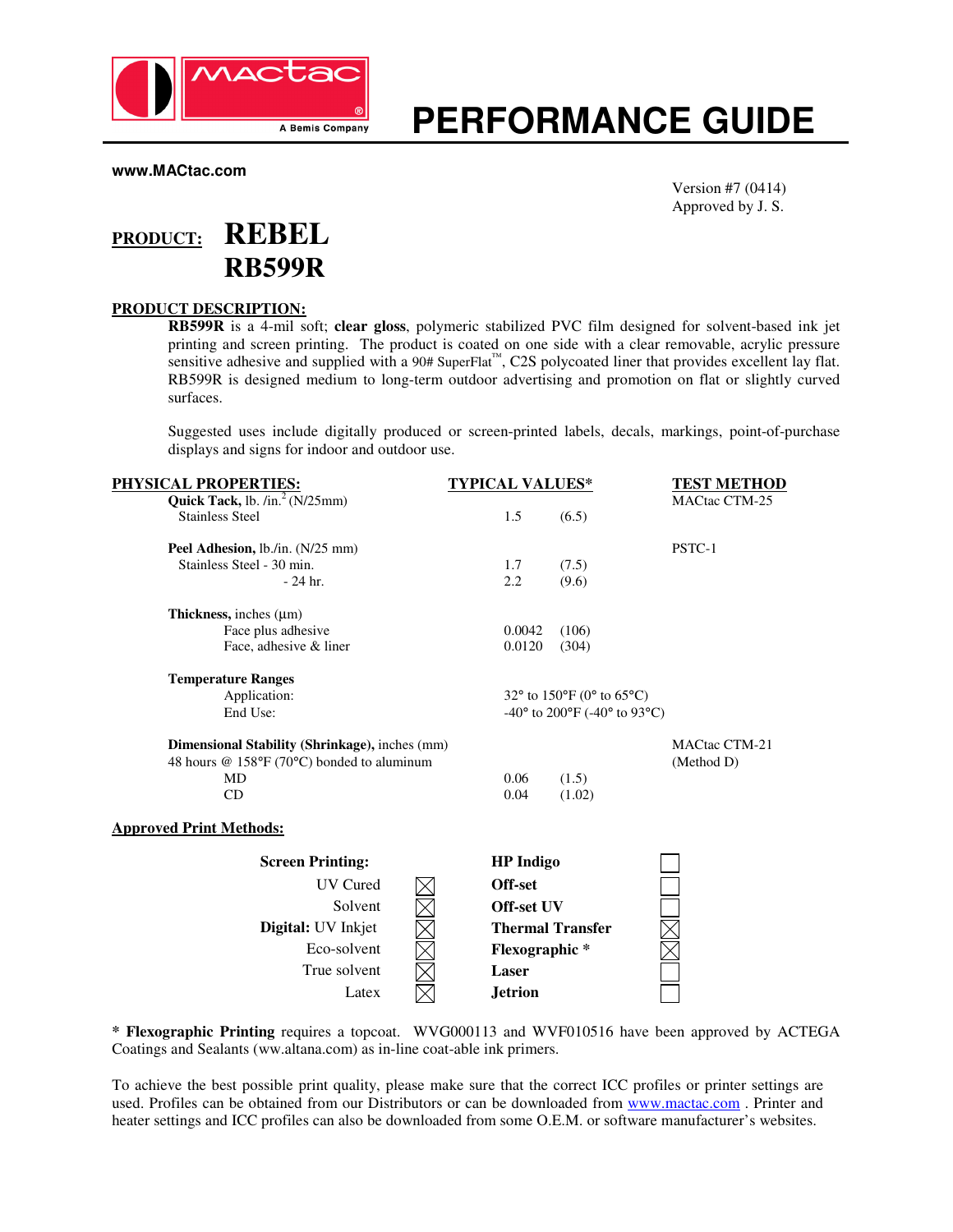

# **PERFORMANCE GUIDE**

**www.MACtac.com** 

Version #7 (0414) Approved by J. S.

# **PRODUCT: REBEL RB599R**

### **PRODUCT DESCRIPTION:**

**RB599R** is a 4-mil soft; **clear gloss**, polymeric stabilized PVC film designed for solvent-based ink jet printing and screen printing. The product is coated on one side with a clear removable, acrylic pressure sensitive adhesive and supplied with a 90# SuperFlat™, C2S polycoated liner that provides excellent lay flat. RB599R is designed medium to long-term outdoor advertising and promotion on flat or slightly curved surfaces.

Suggested uses include digitally produced or screen-printed labels, decals, markings, point-of-purchase displays and signs for indoor and outdoor use.

| <u>PHYSICAL PROPERTIES:</u>                    | <b>TYPICAL VALUES*</b>                                             | <b>TEST METHOD</b>   |
|------------------------------------------------|--------------------------------------------------------------------|----------------------|
| Quick Tack, lb. $/in.^2$ (N/25mm)              |                                                                    | <b>MACtac CTM-25</b> |
| <b>Stainless Steel</b>                         | 1.5<br>(6.5)                                                       |                      |
| Peel Adhesion, lb./in. (N/25 mm)               |                                                                    | PSTC-1               |
| Stainless Steel - 30 min.                      | 1.7<br>(7.5)                                                       |                      |
| $-24$ hr.                                      | 2.2<br>(9.6)                                                       |                      |
| Thickness, inches $(\mu m)$                    |                                                                    |                      |
| Face plus adhesive                             | 0.0042<br>(106)                                                    |                      |
| Face, adhesive & liner                         | 0.0120<br>(304)                                                    |                      |
| <b>Temperature Ranges</b>                      |                                                                    |                      |
| Application:                                   | 32 $\degree$ to 150 $\degree$ F (0 $\degree$ to 65 $\degree$ C)    |                      |
| End Use:                                       | -40 $\degree$ to 200 $\degree$ F (-40 $\degree$ to 93 $\degree$ C) |                      |
| Dimensional Stability (Shrinkage), inches (mm) |                                                                    | <b>MACtac CTM-21</b> |
| 48 hours @ 158°F (70°C) bonded to aluminum     |                                                                    | (Method D)           |
| MD                                             | 0.06<br>(1.5)                                                      |                      |
| CD                                             | 0.04<br>(1.02)                                                     |                      |
| <b>Approved Print Methods:</b>                 |                                                                    |                      |
| <b>Screen Printing:</b>                        | <b>HP</b> Indigo                                                   |                      |
| UV Cured                                       | Off-set                                                            |                      |
| Solvent                                        | Off-set UV                                                         |                      |
| Digital: UV Inkjet                             | <b>Thermal Transfer</b>                                            |                      |
| Eco-solvent                                    | <b>Flexographic*</b>                                               |                      |
| True solvent                                   | Laser                                                              |                      |
| Latex                                          | <b>Jetrion</b>                                                     |                      |

**\* Flexographic Printing** requires a topcoat. WVG000113 and WVF010516 have been approved by ACTEGA Coatings and Sealants (ww.altana.com) as in-line coat-able ink primers.

To achieve the best possible print quality, please make sure that the correct ICC profiles or printer settings are used. Profiles can be obtained from our Distributors or can be downloaded from www.mactac.com. Printer and heater settings and ICC profiles can also be downloaded from some O.E.M. or software manufacturer's websites.